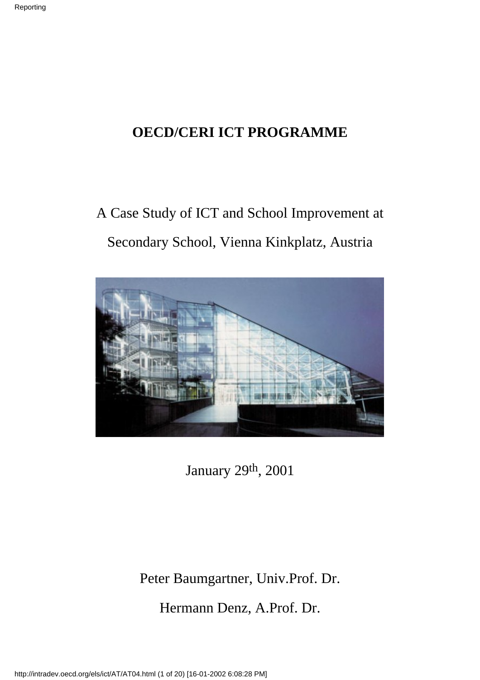## **OECD/CERI ICT PROGRAMME**

## A Case Study of ICT and School Improvement at Secondary School, Vienna Kinkplatz, Austria



January 29th, 2001

Peter Baumgartner, Univ.Prof. Dr.

Hermann Denz, A.Prof. Dr.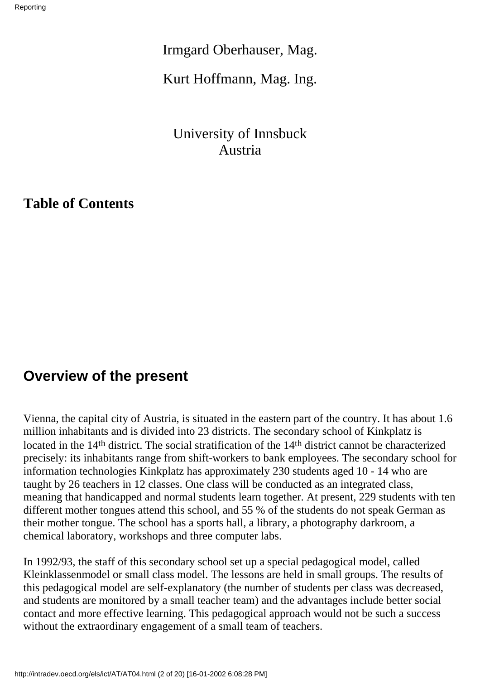Irmgard Oberhauser, Mag.

Kurt Hoffmann, Mag. Ing.

University of Innsbuck Austria

**Table of Contents**

### **Overview of the present**

Vienna, the capital city of Austria, is situated in the eastern part of the country. It has about 1.6 million inhabitants and is divided into 23 districts. The secondary school of Kinkplatz is located in the 14<sup>th</sup> district. The social stratification of the 14<sup>th</sup> district cannot be characterized precisely: its inhabitants range from shift-workers to bank employees. The secondary school for information technologies Kinkplatz has approximately 230 students aged 10 - 14 who are taught by 26 teachers in 12 classes. One class will be conducted as an integrated class, meaning that handicapped and normal students learn together. At present, 229 students with ten different mother tongues attend this school, and 55 % of the students do not speak German as their mother tongue. The school has a sports hall, a library, a photography darkroom, a chemical laboratory, workshops and three computer labs.

In 1992/93, the staff of this secondary school set up a special pedagogical model, called Kleinklassenmodel or small class model. The lessons are held in small groups. The results of this pedagogical model are self-explanatory (the number of students per class was decreased, and students are monitored by a small teacher team) and the advantages include better social contact and more effective learning. This pedagogical approach would not be such a success without the extraordinary engagement of a small team of teachers.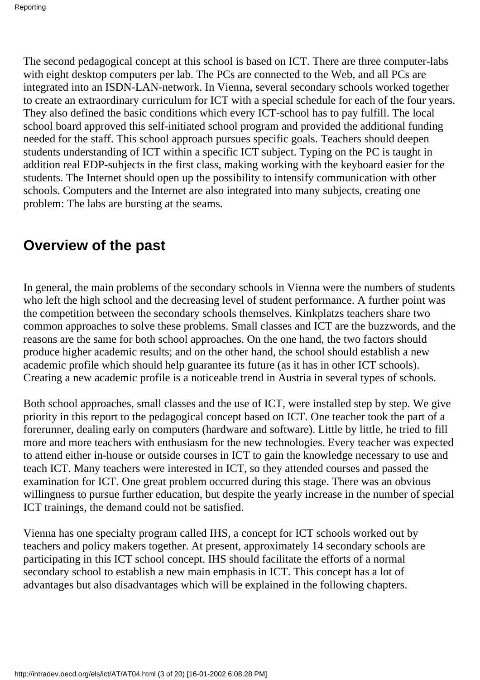The second pedagogical concept at this school is based on ICT. There are three computer-labs with eight desktop computers per lab. The PC s are connected to the Web, and all PC s are integrated into an ISDN-LAN-network. In Vienna, several secondary schools worked together to create an extraordinary curriculum for ICT with a special schedule for each of the four years. They also defined the basic conditions which every ICT-school has to pay fulfill. The local school board approved this self-initiated school program and provided the additional funding needed for the staff. This school approach pursues specific goals. Teachers should deepen students understanding of ICT within a specific ICT subject. Typing on the PC is taught in addition real EDP-subjects in the first class, making working with the keyboard easier for the students. The Internet should open up the possibility to intensify communication with other schools. Computers and the Internet are also integrated into many subjects, creating one problem: The labs are bursting at the seams.

### **Overview of the past**

In general, the main problems of the secondary schools in Vienna were the numbers of students who left the high school and the decreasing level of student performance. A further point was the competition between the secondary schools themselves. Kinkplatz s teachers share two common approaches to solve these problems. Small classes and ICT are the buzzwords, and the reasons are the same for both school approaches. On the one hand, the two factors should produce higher academic results; and on the other hand, the school should establish a new academic profile which should help guarantee its future (as it has in other ICT schools). Creating a new academic profile is a noticeable trend in Austria in several types of schools.

Both school approaches, small classes and the use of ICT, were installed step by step. We give priority in this report to the pedagogical concept based on ICT. One teacher took the part of a forerunner, dealing early on computers (hardware and software). Little by little, he tried to fill more and more teachers with enthusiasm for the new technologies. Every teacher was expected to attend either in-house or outside courses in ICT to gain the knowledge necessary to use and teach ICT. Many teachers were interested in ICT, so they attended courses and passed the examination for ICT. One great problem occurred during this stage. There was an obvious willingness to pursue further education, but despite the yearly increase in the number of special ICT trainings, the demand could not be satisfied.

Vienna has one specialty program called IHS, a concept for ICT schools worked out by teachers and policy makers together. At present, approximately 14 secondary schools are participating in this ICT school concept. IHS should facilitate the efforts of a normal secondary school to establish a new main emphasis in ICT. This concept has a lot of advantages but also disadvantages which will be explained in the following chapters.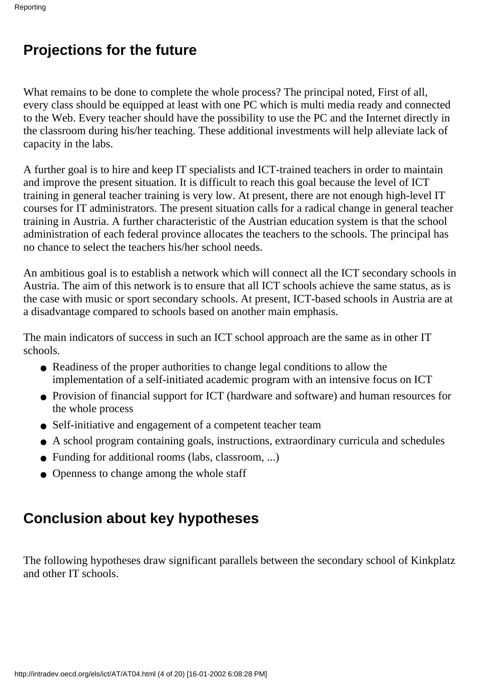## **Projections for the future**

What remains to be done to complete the whole process? The principal noted, First of all, every class should be equipped at least with one PC which is multi media ready and connected to the Web. Every teacher should have the possibility to use the PC and the Internet directly in the classroom during his/her teaching. These additional investments will help alleviate lack of capacity in the labs.

A further goal is to hire and keep IT specialists and ICT-trained teachers in order to maintain and improve the present situation. It is difficult to reach this goal because the level of ICT training in general teacher training is very low. At present, there are not enough high-level IT courses for IT administrators. The present situation calls for a radical change in general teacher training in Austria. A further characteristic of the Austrian education system is that the school administration of each federal province allocates the teachers to the schools. The principal has no chance to select the teachers his/her school needs.

An ambitious goal is to establish a network which will connect all the ICT secondary schools in Austria. The aim of this network is to ensure that all ICT schools achieve the same status, as is the case with music or sport secondary schools. At present, ICT-based schools in Austria are at a disadvantage compared to schools based on another main emphasis.

The main indicators of success in such an ICT school approach are the same as in other IT schools.

- Readiness of the proper authorities to change legal conditions to allow the implementation of a self-initiated academic program with an intensive focus on ICT
- Provision of financial support for ICT (hardware and software) and human resources for the whole process
- Self-initiative and engagement of a competent teacher team
- A school program containing goals, instructions, extraordinary curricula and schedules
- Funding for additional rooms (labs, classroom, ...)
- Openness to change among the whole staff

## **Conclusion about key hypotheses**

The following hypotheses draw significant parallels between the secondary school of Kinkplatz and other IT schools.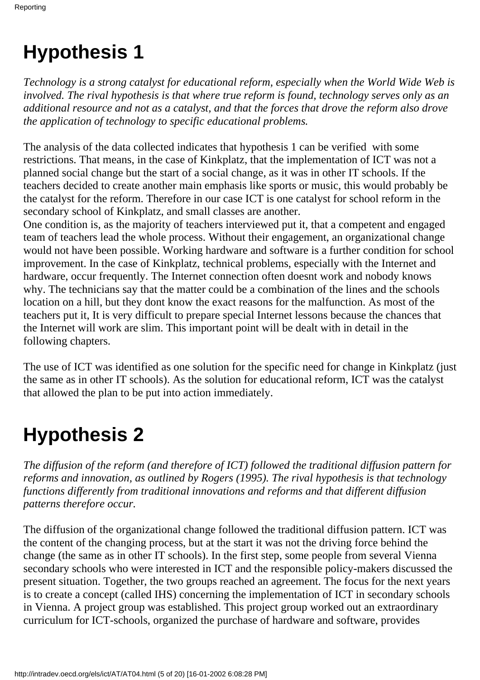# **Hypothesis 1**

*Technology is a strong catalyst for educational reform, especially when the World Wide Web is involved. The rival hypothesis is that where true reform is found, technology serves only as an additional resource and not as a catalyst, and that the forces that drove the reform also drove the application of technology to specific educational problems.*

The analysis of the data collected indicates that hypothesis 1 can be verified with some restrictions. That means, in the case of Kinkplatz, that the implementation of ICT was not a planned social change but the start of a social change, as it was in other IT schools. If the teachers decided to create another main emphasis like sports or music, this would probably be the catalyst for the reform. Therefore in our case ICT is one catalyst for school reform in the secondary school of Kinkplatz, and small classes are another.

One condition is, as the majority of teachers interviewed put it, that a competent and engaged team of teachers lead the whole process. Without their engagement, an organizational change would not have been possible. Working hardware and software is a further condition for school improvement. In the case of Kinkplatz, technical problems, especially with the Internet and hardware, occur frequently. The Internet connection often doesnt work and nobody knows why. The technicians say that the matter could be a combination of the lines and the school s location on a hill, but they dont know the exact reasons for the malfunction. As most of the teachers put it, It is very difficult to prepare special Internet lessons because the chances that the Internet will work are slim. This important point will be dealt with in detail in the following chapters.

The use of ICT was identified as one solution for the specific need for change in Kinkplatz (just the same as in other IT schools). As the solution for educational reform, ICT was the catalyst that allowed the plan to be put into action immediately.

# **Hypothesis 2**

*The diffusion of the reform (and therefore of ICT) followed the traditional diffusion pattern for reforms and innovation, as outlined by Rogers (1995). The rival hypothesis is that technology functions differently from traditional innovations and reforms and that different diffusion patterns therefore occur.*

The diffusion of the organizational change followed the traditional diffusion pattern. ICT was the content of the changing process, but at the start it was not the driving force behind the change (the same as in other IT schools). In the first step, some people from several Vienna secondary schools who were interested in ICT and the responsible policy-makers discussed the present situation. Together, the two groups reached an agreement. The focus for the next years is to create a concept (called IHS) concerning the implementation of ICT in secondary schools in Vienna. A project group was established. This project group worked out an extraordinary curriculum for ICT-schools, organized the purchase of hardware and software, provides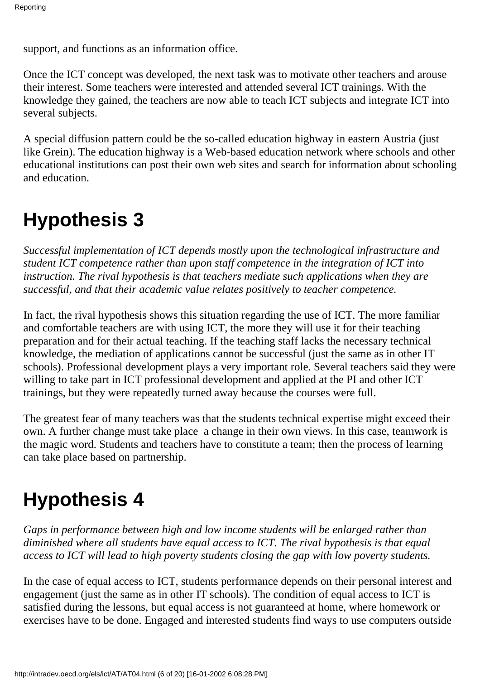support, and functions as an information office.

Once the ICT concept was developed, the next task was to motivate other teachers and arouse their interest. Some teachers were interested and attended several ICT trainings. With the knowledge they gained, the teachers are now able to teach ICT subjects and integrate ICT into several subjects.

A special diffusion pattern could be the so-called education highway in eastern Austria (just like Grein). The education highway is a Web-based education network where schools and other educational institutions can post their own web sites and search for information about schooling and education.

## **Hypothesis 3**

*Successful implementation of ICT depends mostly upon the technological infrastructure and student ICT competence rather than upon staff competence in the integration of ICT into instruction. The rival hypothesis is that teachers mediate such applications when they are successful, and that their academic value relates positively to teacher competence.*

In fact, the rival hypothesis shows this situation regarding the use of ICT. The more familiar and comfortable teachers are with using ICT, the more they will use it for their teaching preparation and for their actual teaching. If the teaching staff lacks the necessary technical knowledge, the mediation of applications cannot be successful (just the same as in other IT schools). Professional development plays a very important role. Several teachers said they were willing to take part in ICT professional development and applied at the PI and other ICT trainings, but they were repeatedly turned away because the courses were full.

The greatest fear of many teachers was that the students technical expertise might exceed their own. A further change must take place a change in their own views. In this case, teamwork is the magic word. Students and teachers have to constitute a team; then the process of learning can take place based on partnership.

# **Hypothesis 4**

*Gaps in performance between high and low income students will be enlarged rather than diminished where all students have equal access to ICT. The rival hypothesis is that equal access to ICT will lead to high poverty students closing the gap with low poverty students.*

In the case of equal access to ICT, students performance depends on their personal interest and engagement (just the same as in other IT schools). The condition of equal access to ICT is satisfied during the lessons, but equal access is not guaranteed at home, where homework or exercises have to be done. Engaged and interested students find ways to use computers outside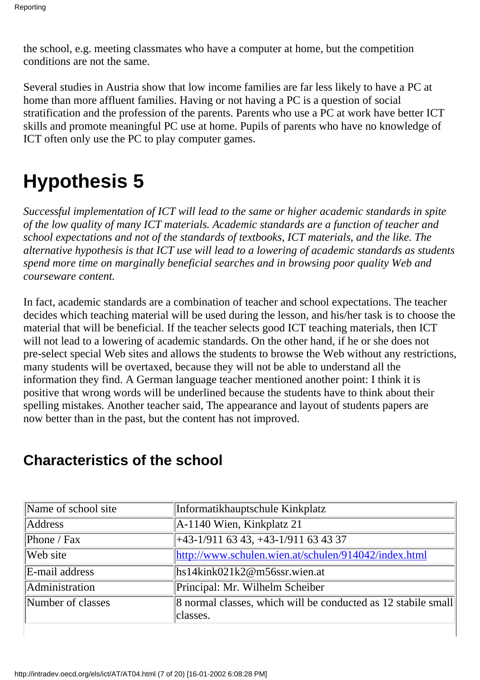the school, e.g. meeting classmates who have a computer at home, but the competition conditions are not the same.

Several studies in Austria show that low income families are far less likely to have a PC at home than more affluent families. Having or not having a PC is a question of social stratification and the profession of the parents. Parents who use a PC at work have better ICT skills and promote meaningful PC use at home. Pupils of parents who have no knowledge of ICT often only use the PC to play computer games.

# **Hypothesis 5**

*Successful implementation of ICT will lead to the same or higher academic standards in spite of the low quality of many ICT materials. Academic standards are a function of teacher and school expectations and not of the standards of textbooks, ICT materials, and the like. The alternative hypothesis is that ICT use will lead to a lowering of academic standards as students spend more time on marginally beneficial searches and in browsing poor quality Web and courseware content.*

In fact, academic standards are a combination of teacher and school expectations. The teacher decides which teaching material will be used during the lesson, and his/her task is to choose the material that will be beneficial. If the teacher selects good ICT teaching materials, then ICT will not lead to a lowering of academic standards. On the other hand, if he or she does not pre-select special Web sites and allows the students to browse the Web without any restrictions, many students will be overtaxed, because they will not be able to understand all the information they find. A German language teacher mentioned another point: I think it is positive that wrong words will be underlined because the students have to think about their spelling mistakes. Another teacher said, The appearance and layout of students papers are now better than in the past, but the content has not improved.

| Informatikhauptschule Kinkplatz                                           |  |
|---------------------------------------------------------------------------|--|
| $A-1140$ Wien, Kinkplatz 21                                               |  |
| +43-1/911 63 43, +43-1/911 63 43 37                                       |  |
| http://www.schulen.wien.at/schulen/914042/index.html                      |  |
| $\frac{1}{1}$ hs14kink021k2@m56ssr.wien.at                                |  |
| Principal: Mr. Wilhelm Scheiber                                           |  |
| 8 normal classes, which will be conducted as 12 stabile small<br>classes. |  |
|                                                                           |  |

## **Characteristics of the school**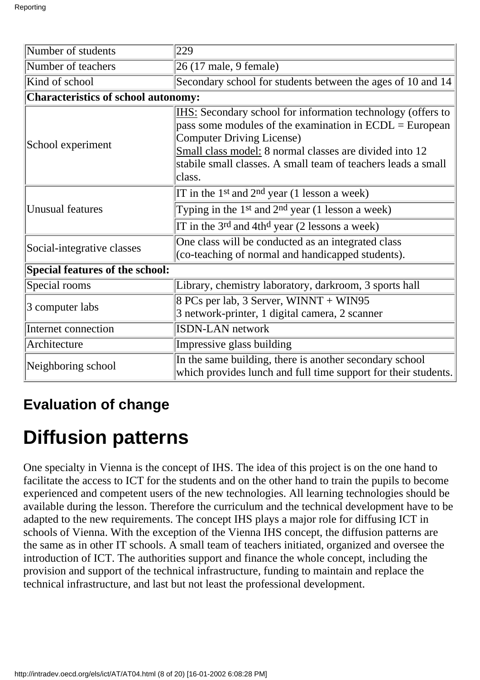| Number of students                                                                                                                              | 229                                                                                                                                                                                                                                                                                                |  |  |
|-------------------------------------------------------------------------------------------------------------------------------------------------|----------------------------------------------------------------------------------------------------------------------------------------------------------------------------------------------------------------------------------------------------------------------------------------------------|--|--|
| Number of teachers                                                                                                                              | 26 (17 male, 9 female)                                                                                                                                                                                                                                                                             |  |  |
| Kind of school                                                                                                                                  | Secondary school for students between the ages of 10 and 14                                                                                                                                                                                                                                        |  |  |
| <b>Characteristics of school autonomy:</b>                                                                                                      |                                                                                                                                                                                                                                                                                                    |  |  |
| School experiment                                                                                                                               | IHS: Secondary school for information technology (offers to<br>pass some modules of the examination in $ECDL = European$<br><b>Computer Driving License)</b><br>Small class model: 8 normal classes are divided into 12<br>stabile small classes. A small team of teachers leads a small<br>class. |  |  |
| <b>Unusual features</b>                                                                                                                         | IT in the 1 <sup>st</sup> and 2 <sup>nd</sup> year (1 lesson a week)<br>Typing in the 1 <sup>st</sup> and $2nd$ year (1 lesson a week)<br>IT in the $3^{rd}$ and $4th^d$ year (2 lessons a week)                                                                                                   |  |  |
| Social-integrative classes                                                                                                                      | One class will be conducted as an integrated class<br>(co-teaching of normal and handicapped students).                                                                                                                                                                                            |  |  |
| Special features of the school:                                                                                                                 |                                                                                                                                                                                                                                                                                                    |  |  |
| Special rooms                                                                                                                                   | Library, chemistry laboratory, darkroom, 3 sports hall                                                                                                                                                                                                                                             |  |  |
| 3 computer labs                                                                                                                                 | 8 PC s per lab, 3 Server, WINNT + WIN95<br>3 network-printer, 1 digital camera, 2 scanner                                                                                                                                                                                                          |  |  |
| <b>ISDN-LAN</b> network<br>Internet connection                                                                                                  |                                                                                                                                                                                                                                                                                                    |  |  |
| Architecture                                                                                                                                    | Impressive glass building                                                                                                                                                                                                                                                                          |  |  |
| In the same building, there is another secondary school<br>Neighboring school<br>which provides lunch and full time support for their students. |                                                                                                                                                                                                                                                                                                    |  |  |

## **Evaluation of change**

# **Diffusion patterns**

One specialty in Vienna is the concept of IHS. The idea of this project is on the one hand to facilitate the access to ICT for the students and on the other hand to train the pupils to become experienced and competent users of the new technologies. All learning technologies should be available during the lesson. Therefore the curriculum and the technical development have to be adapted to the new requirements. The concept IHS plays a major role for diffusing ICT in schools of Vienna. With the exception of the Vienna IHS concept, the diffusion patterns are the same as in other IT schools. A small team of teachers initiated, organized and oversee the introduction of ICT. The authorities support and finance the whole concept, including the provision and support of the technical infrastructure, funding to maintain and replace the technical infrastructure, and last but not least the professional development.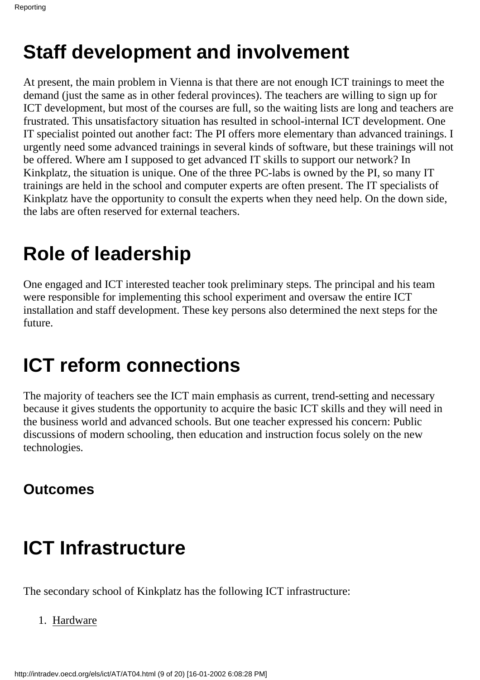# **Staff development and involvement**

At present, the main problem in Vienna is that there are not enough ICT trainings to meet the demand (just the same as in other federal provinces). The teachers are willing to sign up for ICT development, but most of the courses are full, so the waiting lists are long and teachers are frustrated. This unsatisfactory situation has resulted in school-internal ICT development. One IT specialist pointed out another fact: The PI offers more elementary than advanced trainings. I urgently need some advanced trainings in several kinds of software, but these trainings will not be offered. Where am I supposed to get advanced IT skills to support our network? In Kinkplatz, the situation is unique. One of the three PC-labs is owned by the PI, so many IT trainings are held in the school and computer experts are often present. The IT specialists of Kinkplatz have the opportunity to consult the experts when they need help. On the down side, the labs are often reserved for external teachers.

# **Role of leadership**

One engaged and ICT interested teacher took preliminary steps. The principal and his team were responsible for implementing this school experiment and oversaw the entire ICT installation and staff development. These key persons also determined the next steps for the future.

# **ICT reform connections**

The majority of teachers see the ICT main emphasis as current, trend-setting and necessary because it gives students the opportunity to acquire the basic ICT skills and they will need in the business world and advanced schools. But one teacher expressed his concern: Public discussions of modern schooling, then education and instruction focus solely on the new technologies.

## **Outcomes**

# **ICT Infrastructure**

The secondary school of Kinkplatz has the following ICT infrastructure:

1. Hardware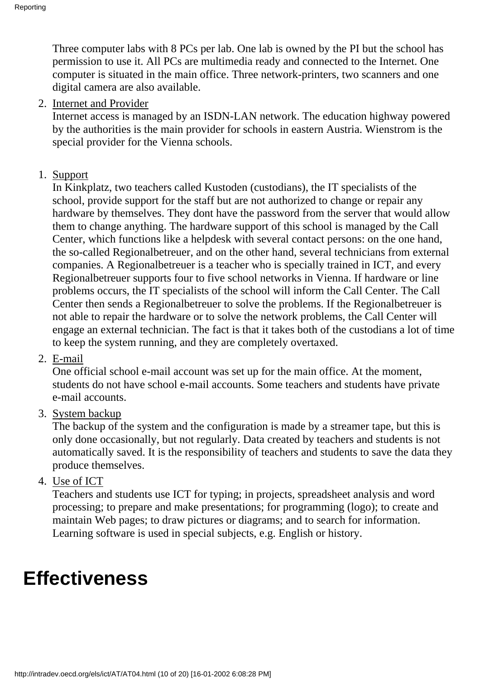Three computer labs with 8 PC s per lab. One lab is owned by the PI but the school has permission to use it. All PC s are multimedia ready and connected to the Internet. One computer is situated in the main office. Three network-printers, two scanners and one digital camera are also available.

#### 2. Internet and Provider

Internet access is managed by an ISDN-LAN network. The education highway powered by the authorities is the main provider for schools in eastern Austria. Wienstrom is the special provider for the Vienna schools.

#### 1. Support

In Kinkplatz, two teachers called Kustoden (custodians), the IT specialists of the school, provide support for the staff but are not authorized to change or repair any hardware by themselves. They don t have the password from the server that would allow them to change anything. The hardware support of this school is managed by the Call Center, which functions like a helpdesk with several contact persons: on the one hand, the so-called Regionalbetreuer, and on the other hand, several technicians from external companies. A Regionalbetreuer is a teacher who is specially trained in ICT, and every Regionalbetreuer supports four to five school networks in Vienna. If hardware or line problems occurs, the IT specialists of the school will inform the Call Center. The Call Center then sends a Regionalbetreuer to solve the problems. If the Regionalbetreuer is not able to repair the hardware or to solve the network problems, the Call Center will engage an external technician. The fact is that it takes both of the custodians a lot of time to keep the system running, and they are completely overtaxed.

2. E-mail

One official school e-mail account was set up for the main office. At the moment, students do not have school e-mail accounts. Some teachers and students have private e-mail accounts.

3. System backup

The backup of the system and the configuration is made by a streamer tape, but this is only done occasionally, but not regularly. Data created by teachers and students is not automatically saved. It is the responsibility of teachers and students to save the data they produce themselves.

4. <u>Use of ICT</u>

Teachers and students use ICT for typing; in projects, spreadsheet analysis and word processing; to prepare and make presentations; for programming (logo); to create and maintain Web pages; to draw pictures or diagrams; and to search for information. Learning software is used in special subjects, e.g. English or history.

## **Effectiveness**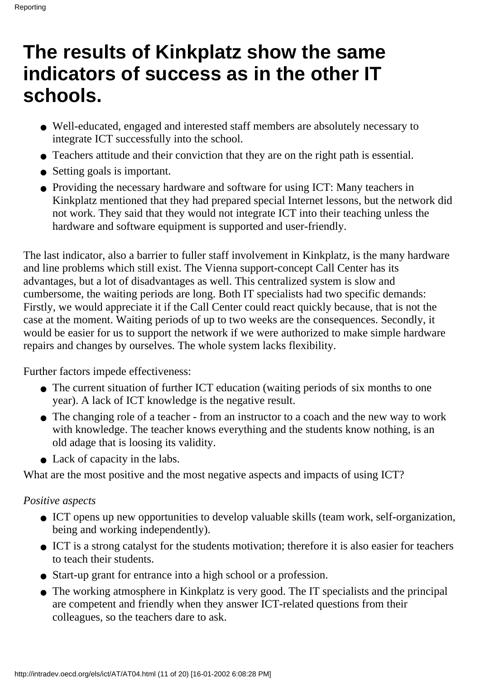## **The results of Kinkplatz show the same indicators of success as in the other IT schools.**

- Well-educated, engaged and interested staff members are absolutely necessary to integrate ICT successfully into the school.
- Teachers attitude and their conviction that they are on the right path is essential.
- Setting goals is important.
- Providing the necessary hardware and software for using ICT: Many teachers in Kinkplatz mentioned that they had prepared special Internet lessons, but the network did not work. They said that they would not integrate ICT into their teaching unless the hardware and software equipment is supported and user-friendly.

The last indicator, also a barrier to fuller staff involvement in Kinkplatz, is the many hardware and line problems which still exist. The Vienna support-concept Call Center has its advantages, but a lot of disadvantages as well. This centralized system is slow and cumbersome, the waiting periods are long. Both IT specialists had two specific demands: Firstly, we would appreciate it if the Call Center could react quickly because, that is not the case at the moment. Waiting periods of up to two weeks are the consequences. Secondly, it would be easier for us to support the network if we were authorized to make simple hardware repairs and changes by ourselves. The whole system lacks flexibility.

Further factors impede effectiveness:

- The current situation of further ICT education (waiting periods of six months to one year). A lack of ICT knowledge is the negative result.
- The changing role of a teacher from an instructor to a coach and the new way to work with knowledge. The teacher knows everything and the students know nothing, is an old adage that is loosing its validity.
- Lack of capacity in the labs.

What are the most positive and the most negative aspects and impacts of using ICT?

#### *Positive aspects*

- ICT opens up new opportunities to develop valuable skills (team work, self-organization, being and working independently).
- ICT is a strong catalyst for the students motivation; therefore it is also easier for teachers to teach their students.
- Start-up grant for entrance into a high school or a profession.
- The working atmosphere in Kinkplatz is very good. The IT specialists and the principal are competent and friendly when they answer ICT-related questions from their colleagues, so the teachers dare to ask.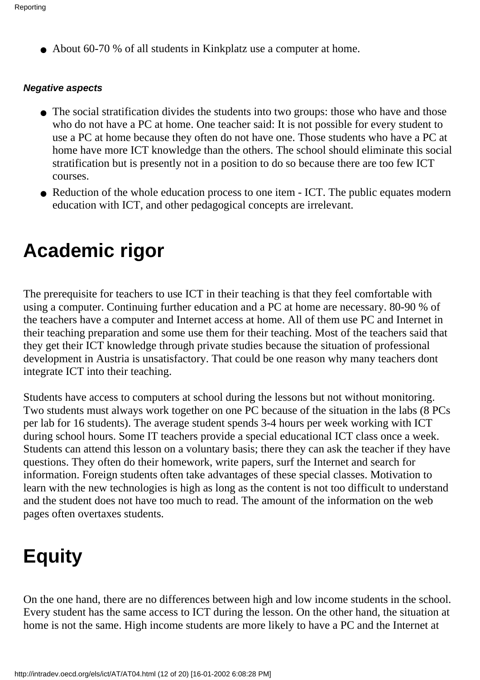• About 60-70 % of all students in Kinkplatz use a computer at home.

#### **Negative aspects**

- The social stratification divides the students into two groups: those who have and those who do not have a PC at home. One teacher said: It is not possible for every student to use a PC at home because they often do not have one. Those students who have a PC at home have more ICT knowledge than the others. The school should eliminate this social stratification but is presently not in a position to do so because there are too few ICT courses.
- Reduction of the whole education process to one item ICT. The public equates modern education with ICT, and other pedagogical concepts are irrelevant.

## **Academic rigor**

The prerequisite for teachers to use ICT in their teaching is that they feel comfortable with using a computer. Continuing further education and a PC at home are necessary. 80-90 % of the teachers have a computer and Internet access at home. All of them use PC and Internet in their teaching preparation and some use them for their teaching. Most of the teachers said that they get their ICT knowledge through private studies because the situation of professional development in Austria is unsatisfactory. That could be one reason why many teachers don t integrate ICT into their teaching.

Students have access to computers at school during the lessons but not without monitoring. Two students must always work together on one PC because of the situation in the labs (8 PC s) per lab for 16 students). The average student spends 3-4 hours per week working with ICT during school hours. Some IT teachers provide a special educational ICT class once a week. Students can attend this lesson on a voluntary basis; there they can ask the teacher if they have questions. They often do their homework, write papers, surf the Internet and search for information. Foreign students often take advantages of these special classes. Motivation to learn with the new technologies is high as long as the content is not too difficult to understand and the student does not have too much to read. The amount of the information on the web pages often overtaxes students.

# **Equity**

On the one hand, there are no differences between high and low income students in the school. Every student has the same access to ICT during the lesson. On the other hand, the situation at home is not the same. High income students are more likely to have a PC and the Internet at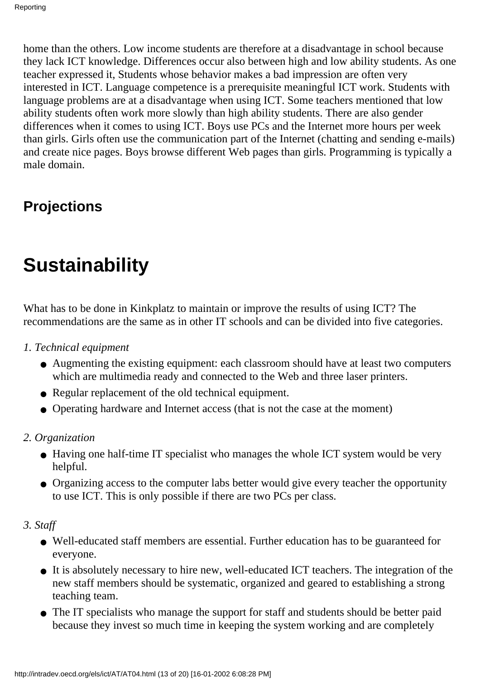home than the others. Low income students are therefore at a disadvantage in school because they lack ICT knowledge. Differences occur also between high and low ability students. As one teacher expressed it, Students whose behavior makes a bad impression are often very interested in ICT. Language competence is a prerequisite meaningful ICT work. Students with language problems are at a disadvantage when using ICT. Some teachers mentioned that low ability students often work more slowly than high ability students. There are also gender differences when it comes to using ICT. Boys use PC s and the Internet more hours per week than girls. Girls often use the communication part of the Internet (chatting and sending e-mails) and create nice pages. Boys browse different Web pages than girls. Programming is typically a male domain.

## **Projections**

# **Sustainability**

What has to be done in Kinkplatz to maintain or improve the results of using ICT? The recommendations are the same as in other IT schools and can be divided into five categories.

- *1. Technical equipment*
	- Augmenting the existing equipment: each classroom should have at least two computers which are multimedia ready and connected to the Web and three laser printers.
	- Regular replacement of the old technical equipment.
	- Operating hardware and Internet access (that is not the case at the moment)
- *2. Organization*
	- Having one half-time IT specialist who manages the whole ICT system would be very helpful.
	- Organizing access to the computer labs better would give every teacher the opportunity to use ICT. This is only possible if there are two PC s per class.
- *3. Staff*
	- Well-educated staff members are essential. Further education has to be guaranteed for everyone.
	- It is absolutely necessary to hire new, well-educated ICT teachers. The integration of the new staff members should be systematic, organized and geared to establishing a strong teaching team.
	- The IT specialists who manage the support for staff and students should be better paid because they invest so much time in keeping the system working and are completely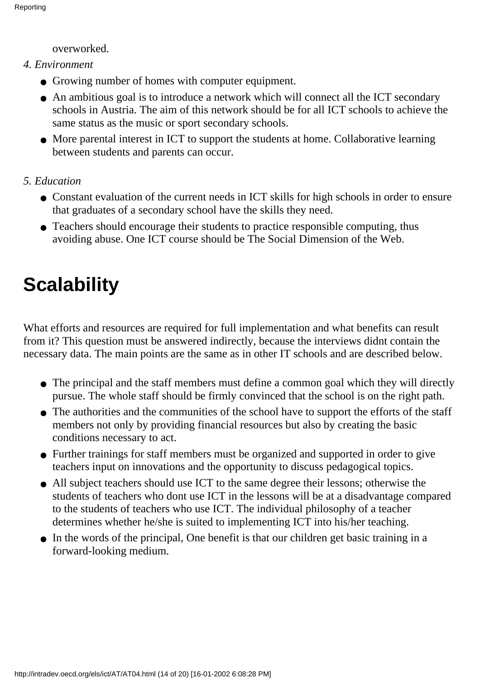overworked.

- *4. Environment*
	- Growing number of homes with computer equipment.
	- An ambitious goal is to introduce a network which will connect all the ICT secondary schools in Austria. The aim of this network should be for all ICT schools to achieve the same status as the music or sport secondary schools.
	- More parental interest in ICT to support the students at home. Collaborative learning between students and parents can occur.

#### *5. Education*

- Constant evaluation of the current needs in ICT skills for high schools in order to ensure that graduates of a secondary school have the skills they need.
- Teachers should encourage their students to practice responsible computing, thus avoiding abuse. One ICT course should be The Social Dimension of the Web.

# **Scalability**

What efforts and resources are required for full implementation and what benefits can result from it? This question must be answered indirectly, because the interviews didnt contain the necessary data. The main points are the same as in other IT schools and are described below.

- The principal and the staff members must define a common goal which they will directly pursue. The whole staff should be firmly convinced that the school is on the right path.
- The authorities and the communities of the school have to support the efforts of the staff members not only by providing financial resources but also by creating the basic conditions necessary to act.
- Further trainings for staff members must be organized and supported in order to give teachers input on innovations and the opportunity to discuss pedagogical topics.
- All subject teachers should use ICT to the same degree their lessons; otherwise the students of teachers who dont use ICT in the lessons will be at a disadvantage compared to the students of teachers who use ICT. The individual philosophy of a teacher determines whether he/she is suited to implementing ICT into his/her teaching.
- In the words of the principal, One benefit is that our children get basic training in a forward-looking medium.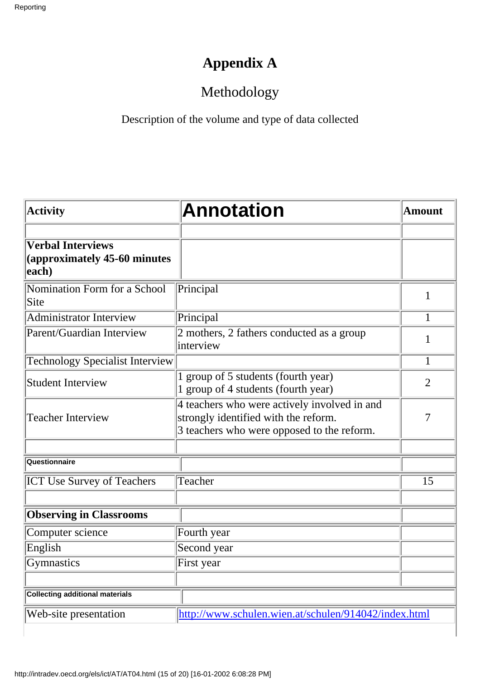## **Appendix A**

## Methodology

Description of the volume and type of data collected

| <b>Activity</b>                                                   | <b>Annotation</b>                                                                                                                  | <b>Amount</b>  |  |
|-------------------------------------------------------------------|------------------------------------------------------------------------------------------------------------------------------------|----------------|--|
| <b>Verbal Interviews</b><br>(approximately 45-60 minutes<br>each) |                                                                                                                                    |                |  |
| Nomination Form for a School<br>Site                              | Principal                                                                                                                          | $\mathbf{1}$   |  |
| <b>Administrator Interview</b>                                    | Principal                                                                                                                          | 1              |  |
| Parent/Guardian Interview                                         | 2 mothers, 2 fathers conducted as a group<br>interview                                                                             | 1              |  |
| <b>Technology Specialist Interview</b>                            |                                                                                                                                    | $\mathbf{1}$   |  |
| <b>Student Interview</b>                                          | group of 5 students (fourth year)<br>1 group of 4 students (fourth year)                                                           | $\overline{2}$ |  |
| <b>Teacher Interview</b>                                          | 4 teachers who were actively involved in and<br>strongly identified with the reform.<br>3 teachers who were opposed to the reform. | 7              |  |
| Questionnaire                                                     |                                                                                                                                    |                |  |
| <b>ICT Use Survey of Teachers</b>                                 | Teacher                                                                                                                            | 15             |  |
| <b>Observing in Classrooms</b>                                    |                                                                                                                                    |                |  |
| Computer science                                                  | Fourth year                                                                                                                        |                |  |
| English                                                           | Second year                                                                                                                        |                |  |
| Gymnastics                                                        | First year                                                                                                                         |                |  |
| <b>Collecting additional materials</b>                            |                                                                                                                                    |                |  |
| Web-site presentation                                             | http://www.schulen.wien.at/schulen/914042/index.html                                                                               |                |  |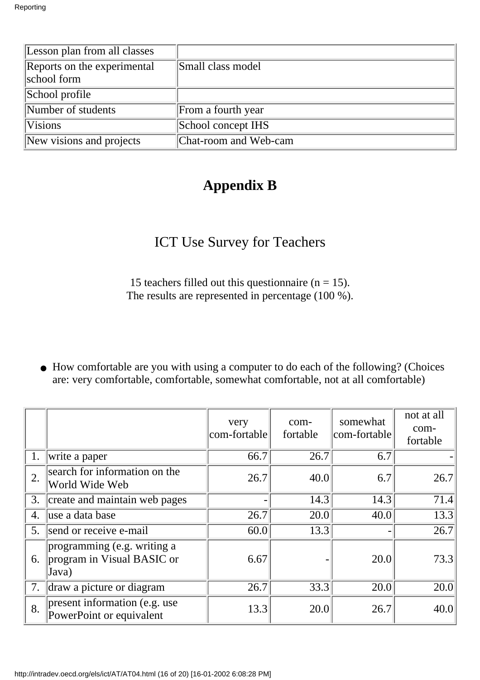| Lesson plan from all classes               |                       |
|--------------------------------------------|-----------------------|
| Reports on the experimental<br>school form | Small class model     |
| School profile                             |                       |
| Number of students                         | From a fourth year    |
| <b>Visions</b>                             | School concept IHS    |
| New visions and projects                   | Chat-room and Web-cam |

## **Appendix B**

## ICT Use Survey for Teachers

15 teachers filled out this questionnaire ( $n = 15$ ). The results are represented in percentage (100 %).

• How comfortable are you with using a computer to do each of the following? (Choices are: very comfortable, comfortable, somewhat comfortable, not at all comfortable)

|    |                                                                    | very<br>com-fortable | com-<br>fortable | somewhat<br>com-fortable | not at all<br>com-<br>fortable |
|----|--------------------------------------------------------------------|----------------------|------------------|--------------------------|--------------------------------|
| 1. | write a paper                                                      | 66.7                 | 26.7             | 6.7                      |                                |
| 2. | search for information on the<br>World Wide Web                    | 26.7                 | 40.0             | 6.7                      | 26.7                           |
| 3. | create and maintain web pages                                      |                      | 14.3             | 14.3                     | 71.4                           |
| 4. | luse a data base                                                   | 26.7                 | 20.0             | 40.0                     | 13.3                           |
| 5. | send or receive e-mail                                             | 60.0                 | 13.3             |                          | 26.7                           |
| 6. | programming (e.g. writing a<br>program in Visual BASIC or<br>Java) | 6.67                 |                  | 20.0                     | 73.3                           |
| 7. | draw a picture or diagram                                          | 26.7                 | 33.3             | 20.0                     | 20.0                           |
| 8. | present information (e.g. use)<br>PowerPoint or equivalent         | 13.3                 | 20.0             | 26.7                     | 40.0                           |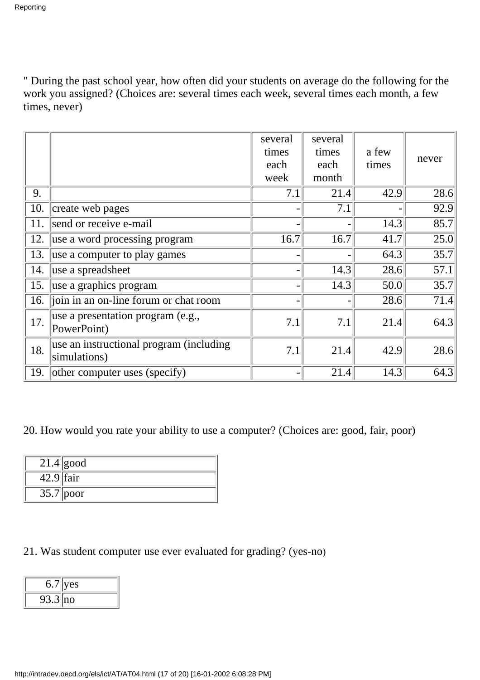" During the past school year, how often did your students on average do the following for the work you assigned? (Choices are: several times each week, several times each month, a few times, never)

|                                           |                                                         | several<br>times<br>each<br>week | several<br>times<br>each<br>month | a few<br>times | never |
|-------------------------------------------|---------------------------------------------------------|----------------------------------|-----------------------------------|----------------|-------|
| 9.                                        |                                                         | 7.1                              | 21.4                              | 42.9           | 28.6  |
| 10.                                       | create web pages                                        |                                  | 7.1                               |                | 92.9  |
| 11.                                       | send or receive e-mail                                  |                                  |                                   | 14.3           | 85.7  |
| 12.                                       | use a word processing program                           | 16.7                             | 16.7                              | 41.7           | 25.0  |
| 13.                                       | use a computer to play games                            |                                  |                                   | 64.3           | 35.7  |
| 14.                                       | luse a spreadsheet                                      |                                  | 14.3                              | 28.6           | 57.1  |
| 15.                                       | use a graphics program                                  |                                  | 14.3                              | 50.0           | 35.7  |
| 16. join in an on-line forum or chat room |                                                         |                                  |                                   | 28.6           | 71.4  |
| 17.                                       | use a presentation program (e.g.,<br>PowerPoint)        | 7.1                              | 7.1                               | 21.4           | 64.3  |
| 18.                                       | use an instructional program (including<br>simulations) | 7.1                              | 21.4                              | 42.9           | 28.6  |
|                                           | 19. other computer uses (specify)                       |                                  | 21.4                              | 14.3           | 64.3  |

20. How would you rate your ability to use a computer? (Choices are: good, fair, poor)

|             | $21.4$ good |
|-------------|-------------|
| $42.9$ fair |             |
|             | $35.7$ poor |

21. Was student computer use ever evaluated for grading? (yes-no)

| 6.7              | es/ |
|------------------|-----|
| $3.3$   no<br>フコ |     |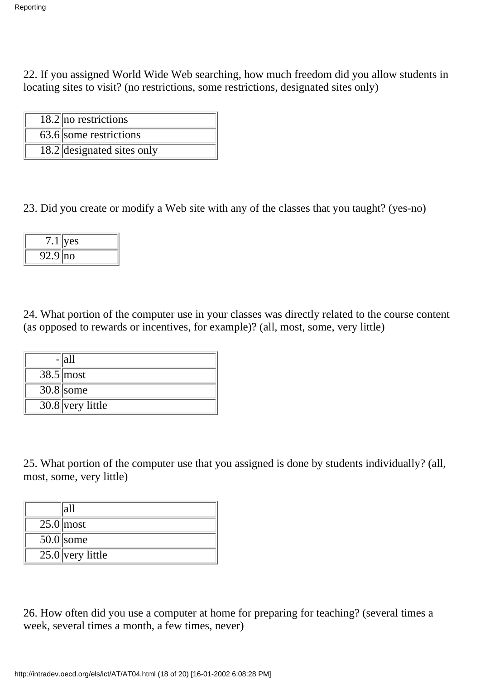22. If you assigned World Wide Web searching, how much freedom did you allow students in locating sites to visit? (no restrictions, some restrictions, designated sites only)

| $18.2$ no restrictions     |
|----------------------------|
| $63.6$ some restrictions   |
| 18.2 designated sites only |

23. Did you create or modify a Web site with any of the classes that you taught? (yes-no)

|            | ves |
|------------|-----|
| $92.9$  no |     |

24. What portion of the computer use in your classes was directly related to the course content (as opposed to rewards or incentives, for example)? (all, most, some, very little)

| -  all             |
|--------------------|
| $38.5 \text{most}$ |
| $30.8$ some        |
| $30.8$ very little |

25. What portion of the computer use that you assigned is done by students individually? (all, most, some, very little)

| 'ah                |
|--------------------|
| $25.0$ most        |
| $50.0$ some        |
| $25.0$ very little |

26. How often did you use a computer at home for preparing for teaching? (several times a week, several times a month, a few times, never)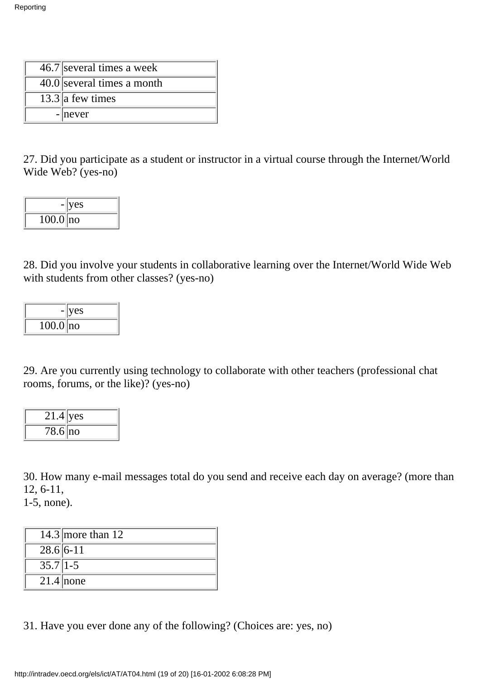| $46.7$ several times a week |
|-----------------------------|
| 40.0 several times a month  |
| $13.3$ a few times          |
| $- never $                  |

27. Did you participate as a student or instructor in a virtual course through the Internet/World Wide Web? (yes-no)

|              | yes |
|--------------|-----|
| $100.0$   no |     |

28. Did you involve your students in collaborative learning over the Internet/World Wide Web with students from other classes? (yes-no)

|              | yes |
|--------------|-----|
| $100.0$   no |     |

29. Are you currently using technology to collaborate with other teachers (professional chat rooms, forums, or the like)? (yes-no)

| $21.4$ yes  |  |
|-------------|--|
| $78.6$   no |  |

30. How many e-mail messages total do you send and receive each day on average? (more than 12, 6-11,

1-5, none).

|                  | 14.3 more than $12$ |
|------------------|---------------------|
| $28.6 6-11$      |                     |
| $35.7\sqrt{1-5}$ |                     |
|                  | $21.4$ none         |

31. Have you ever done any of the following? (Choices are: yes, no)